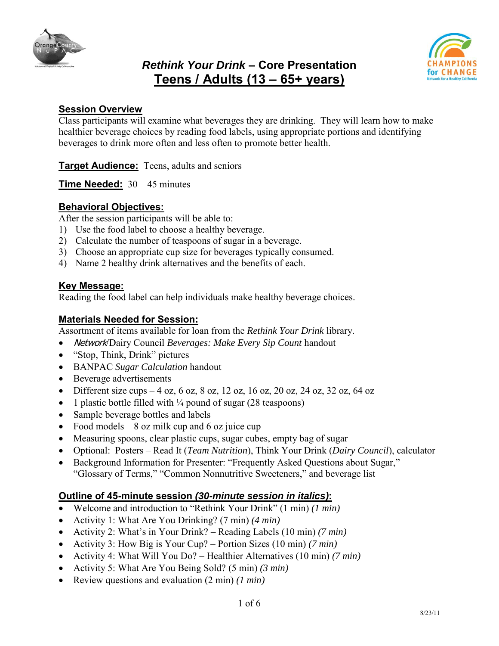

# *Rethink Your Drink* **– Core Presentation Teens / Adults (13 – 65+ years)**



#### **Session Overview**

Class participants will examine what beverages they are drinking. They will learn how to make healthier beverage choices by reading food labels, using appropriate portions and identifying beverages to drink more often and less often to promote better health.

**Target Audience:** Teens, adults and seniors

**Time Needed:** 30 – 45 minutes

### **Behavioral Objectives:**

After the session participants will be able to:

- 1) Use the food label to choose a healthy beverage.
- 2) Calculate the number of teaspoons of sugar in a beverage.
- 3) Choose an appropriate cup size for beverages typically consumed.
- 4) Name 2 healthy drink alternatives and the benefits of each.

#### **Key Message:**

Reading the food label can help individuals make healthy beverage choices.

## **Materials Needed for Session:**

Assortment of items available for loan from the *Rethink Your Drink* library.

- Network/Dairy Council *Beverages: Make Every Sip Count* handout
- "Stop, Think, Drink" pictures
- BANPAC *Sugar Calculation* handout
- Beverage advertisements
- Different size cups 4 oz, 6 oz, 8 oz, 12 oz, 16 oz, 20 oz, 24 oz, 32 oz, 64 oz
- 1 plastic bottle filled with  $\frac{1}{4}$  pound of sugar (28 teaspoons)
- Sample beverage bottles and labels
- Food models  $-8$  oz milk cup and 6 oz juice cup
- Measuring spoons, clear plastic cups, sugar cubes, empty bag of sugar
- Optional: Posters Read It (*Team Nutrition*), Think Your Drink (*Dairy Council*), calculator
- Background Information for Presenter: "Frequently Asked Questions about Sugar," "Glossary of Terms," "Common Nonnutritive Sweeteners," and beverage list

#### **Outline of 45-minute session** *(30-minute session in italics)***:**

- Welcome and introduction to "Rethink Your Drink" (1 min) *(1 min)*
- Activity 1: What Are You Drinking? (7 min) *(4 min)*
- Activity 2: What"s in Your Drink? Reading Labels (10 min) *(7 min)*
- Activity 3: How Big is Your Cup? Portion Sizes (10 min) *(7 min)*
- Activity 4: What Will You Do? Healthier Alternatives (10 min) *(7 min)*
- Activity 5: What Are You Being Sold? (5 min) *(3 min)*
- Review questions and evaluation (2 min) *(1 min)*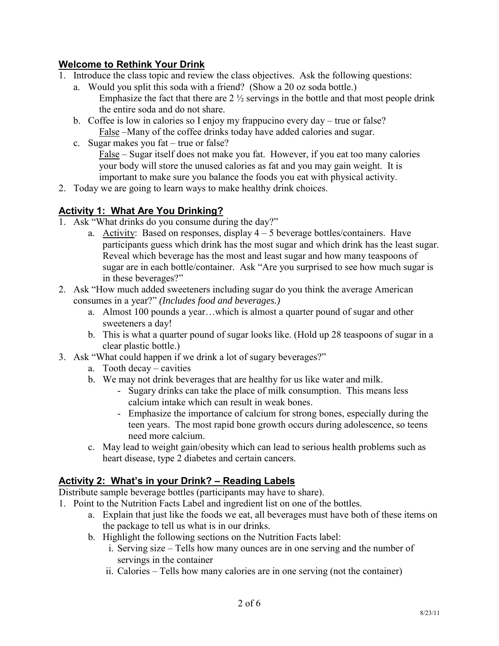## **Welcome to Rethink Your Drink**

- 1. Introduce the class topic and review the class objectives. Ask the following questions:
	- a. Would you split this soda with a friend? (Show a 20 oz soda bottle.) Emphasize the fact that there are  $2\frac{1}{2}$  servings in the bottle and that most people drink the entire soda and do not share.
	- b. Coffee is low in calories so I enjoy my frappucino every day true or false? False –Many of the coffee drinks today have added calories and sugar.
	- c. Sugar makes you fat true or false?

False – Sugar itself does not make you fat. However, if you eat too many calories your body will store the unused calories as fat and you may gain weight. It is important to make sure you balance the foods you eat with physical activity.

2. Today we are going to learn ways to make healthy drink choices.

## **Activity 1: What Are You Drinking?**

- 1. Ask "What drinks do you consume during the day?"
	- a. Activity: Based on responses, display  $4 5$  beverage bottles/containers. Have participants guess which drink has the most sugar and which drink has the least sugar. Reveal which beverage has the most and least sugar and how many teaspoons of sugar are in each bottle/container. Ask "Are you surprised to see how much sugar is in these beverages?"
- 2. Ask "How much added sweeteners including sugar do you think the average American consumes in a year?" *(Includes food and beverages.)*
	- a. Almost 100 pounds a year…which is almost a quarter pound of sugar and other sweeteners a day!
	- b. This is what a quarter pound of sugar looks like. (Hold up 28 teaspoons of sugar in a clear plastic bottle.)
- 3. Ask "What could happen if we drink a lot of sugary beverages?"
	- a. Tooth decay cavities
	- b. We may not drink beverages that are healthy for us like water and milk.
		- Sugary drinks can take the place of milk consumption. This means less calcium intake which can result in weak bones.
		- Emphasize the importance of calcium for strong bones, especially during the teen years. The most rapid bone growth occurs during adolescence, so teens need more calcium.
	- c. May lead to weight gain/obesity which can lead to serious health problems such as heart disease, type 2 diabetes and certain cancers.

## **Activity 2: What's in your Drink? – Reading Labels**

Distribute sample beverage bottles (participants may have to share).

- 1. Point to the Nutrition Facts Label and ingredient list on one of the bottles.
	- a. Explain that just like the foods we eat, all beverages must have both of these items on the package to tell us what is in our drinks.
	- b. Highlight the following sections on the Nutrition Facts label:
		- i. Serving size Tells how many ounces are in one serving and the number of servings in the container
		- ii. Calories Tells how many calories are in one serving (not the container)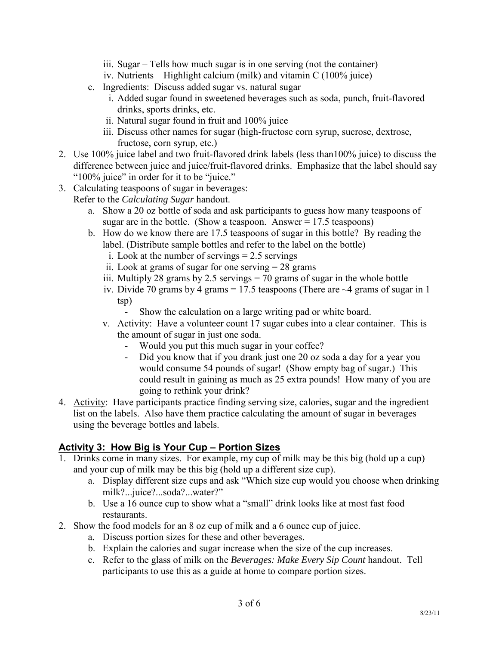- iii. Sugar Tells how much sugar is in one serving (not the container)
- iv. Nutrients Highlight calcium (milk) and vitamin C (100% juice)
- c. Ingredients: Discuss added sugar vs. natural sugar
	- i. Added sugar found in sweetened beverages such as soda, punch, fruit-flavored drinks, sports drinks, etc.
	- ii. Natural sugar found in fruit and 100% juice
	- iii. Discuss other names for sugar (high-fructose corn syrup, sucrose, dextrose, fructose, corn syrup, etc.)
- 2. Use 100% juice label and two fruit-flavored drink labels (less than100% juice) to discuss the difference between juice and juice/fruit-flavored drinks. Emphasize that the label should say "100% juice" in order for it to be "juice."
- 3. Calculating teaspoons of sugar in beverages:
	- Refer to the *Calculating Sugar* handout.
		- a. Show a 20 oz bottle of soda and ask participants to guess how many teaspoons of sugar are in the bottle. (Show a teaspoon. Answer  $= 17.5$  teaspoons)
		- b. How do we know there are 17.5 teaspoons of sugar in this bottle? By reading the label. (Distribute sample bottles and refer to the label on the bottle)
			- i. Look at the number of servings = 2.5 servings
			- ii. Look at grams of sugar for one serving  $= 28$  grams
			- iii. Multiply 28 grams by 2.5 servings  $= 70$  grams of sugar in the whole bottle
			- iv. Divide 70 grams by 4 grams = 17.5 teaspoons (There are  $\sim$  4 grams of sugar in 1 tsp)
				- Show the calculation on a large writing pad or white board.
			- v. Activity: Have a volunteer count 17 sugar cubes into a clear container. This is the amount of sugar in just one soda.
				- Would you put this much sugar in your coffee?
				- Did you know that if you drank just one 20 oz soda a day for a year you would consume 54 pounds of sugar! (Show empty bag of sugar.) This could result in gaining as much as 25 extra pounds! How many of you are going to rethink your drink?
- 4. Activity: Have participants practice finding serving size, calories, sugar and the ingredient list on the labels. Also have them practice calculating the amount of sugar in beverages using the beverage bottles and labels.

## **Activity 3: How Big is Your Cup – Portion Sizes**

- 1. Drinks come in many sizes. For example, my cup of milk may be this big (hold up a cup) and your cup of milk may be this big (hold up a different size cup).
	- a. Display different size cups and ask "Which size cup would you choose when drinking milk?...juice?...soda?...water?"
	- b. Use a 16 ounce cup to show what a "small" drink looks like at most fast food restaurants.
- 2. Show the food models for an 8 oz cup of milk and a 6 ounce cup of juice.
	- a. Discuss portion sizes for these and other beverages.
	- b. Explain the calories and sugar increase when the size of the cup increases.
	- c. Refer to the glass of milk on the *Beverages: Make Every Sip Count* handout. Tell participants to use this as a guide at home to compare portion sizes.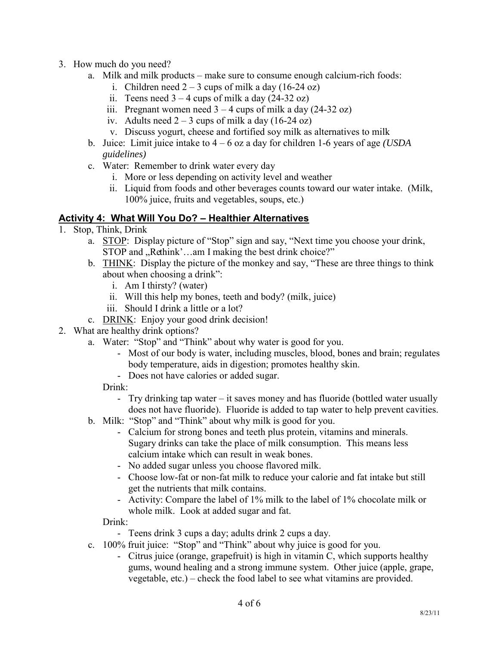- 3. How much do you need?
	- a. Milk and milk products make sure to consume enough calcium-rich foods:
		- i. Children need  $2 3$  cups of milk a day (16-24 oz)
		- ii. Teens need  $3 4$  cups of milk a day (24-32 oz)
		- iii. Pregnant women need  $3 4$  cups of milk a day (24-32 oz)
		- iv. Adults need  $2 3$  cups of milk a day (16-24 oz)
		- v. Discuss yogurt, cheese and fortified soy milk as alternatives to milk
	- b. Juice: Limit juice intake to 4 6 oz a day for children 1-6 years of age *(USDA guidelines)*
	- c. Water: Remember to drink water every day
		- i. More or less depending on activity level and weather
		- ii. Liquid from foods and other beverages counts toward our water intake. (Milk, 100% juice, fruits and vegetables, soups, etc.)

## **Activity 4: What Will You Do? – Healthier Alternatives**

- 1. Stop, Think, Drink
	- a. STOP: Display picture of "Stop" sign and say, "Next time you choose your drink, STOP and "Rethink'...am I making the best drink choice?"
	- b. THINK: Display the picture of the monkey and say, "These are three things to think about when choosing a drink":
		- i. Am I thirsty? (water)
		- ii. Will this help my bones, teeth and body? (milk, juice)
		- iii. Should I drink a little or a lot?
	- c. DRINK: Enjoy your good drink decision!
- 2. What are healthy drink options?
	- a. Water: "Stop" and "Think" about why water is good for you.
		- Most of our body is water, including muscles, blood, bones and brain; regulates body temperature, aids in digestion; promotes healthy skin.
		- Does not have calories or added sugar.

Drink:

- Try drinking tap water it saves money and has fluoride (bottled water usually does not have fluoride). Fluoride is added to tap water to help prevent cavities.
- b. Milk: "Stop" and "Think" about why milk is good for you.
	- Calcium for strong bones and teeth plus protein, vitamins and minerals. Sugary drinks can take the place of milk consumption. This means less calcium intake which can result in weak bones.
	- No added sugar unless you choose flavored milk.
	- Choose low-fat or non-fat milk to reduce your calorie and fat intake but still get the nutrients that milk contains.
	- Activity: Compare the label of 1% milk to the label of 1% chocolate milk or whole milk. Look at added sugar and fat.

Drink:

- Teens drink 3 cups a day; adults drink 2 cups a day.
- c. 100% fruit juice: "Stop" and "Think" about why juice is good for you.
	- Citrus juice (orange, grapefruit) is high in vitamin C, which supports healthy gums, wound healing and a strong immune system. Other juice (apple, grape, vegetable, etc.) – check the food label to see what vitamins are provided.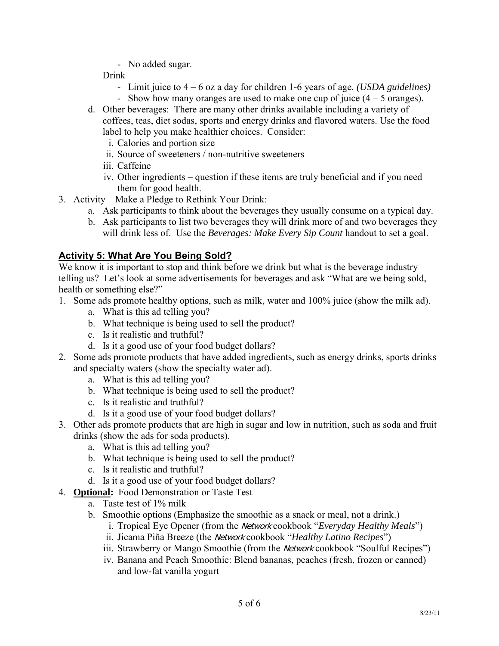- No added sugar.

Drink

- Limit juice to 4 6 oz a day for children 1-6 years of age. *(USDA guidelines)*
- Show how many oranges are used to make one cup of juice (4 5 oranges).
- d. Other beverages: There are many other drinks available including a variety of coffees, teas, diet sodas, sports and energy drinks and flavored waters. Use the food label to help you make healthier choices. Consider:
	- i. Calories and portion size
	- ii. Source of sweeteners / non-nutritive sweeteners
	- iii. Caffeine
	- iv. Other ingredients question if these items are truly beneficial and if you need them for good health.
- 3. Activity Make a Pledge to Rethink Your Drink:
	- a. Ask participants to think about the beverages they usually consume on a typical day.
	- b. Ask participants to list two beverages they will drink more of and two beverages they will drink less of. Use the *Beverages: Make Every Sip Count* handout to set a goal.

## **Activity 5: What Are You Being Sold?**

We know it is important to stop and think before we drink but what is the beverage industry telling us? Let"s look at some advertisements for beverages and ask "What are we being sold, health or something else?"

- 1. Some ads promote healthy options, such as milk, water and 100% juice (show the milk ad).
	- a. What is this ad telling you?
	- b. What technique is being used to sell the product?
	- c. Is it realistic and truthful?
	- d. Is it a good use of your food budget dollars?
- 2. Some ads promote products that have added ingredients, such as energy drinks, sports drinks and specialty waters (show the specialty water ad).
	- a. What is this ad telling you?
	- b. What technique is being used to sell the product?
	- c. Is it realistic and truthful?
	- d. Is it a good use of your food budget dollars?
- 3. Other ads promote products that are high in sugar and low in nutrition, such as soda and fruit drinks (show the ads for soda products).
	- a. What is this ad telling you?
	- b. What technique is being used to sell the product?
	- c. Is it realistic and truthful?
	- d. Is it a good use of your food budget dollars?
- 4. **Optional:** Food Demonstration or Taste Test
	- a. Taste test of 1% milk
	- b. Smoothie options (Emphasize the smoothie as a snack or meal, not a drink.)
		- i. Tropical Eye Opener (from the Network cookbook "*Everyday Healthy Meals*")
		- ii. Jicama Piña Breeze (the Network cookbook "*Healthy Latino Recipes*")
		- iii. Strawberry or Mango Smoothie (from the Network cookbook "Soulful Recipes")
		- iv. Banana and Peach Smoothie: Blend bananas, peaches (fresh, frozen or canned) and low-fat vanilla yogurt